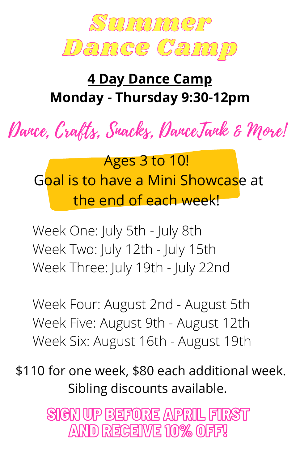

## **4 Day Dance Camp Monday - Thursday 9:30-12pm**

Dance, Crafts, Snacks, DanceTank & More!

Ages 3 to 10! Goal is to have a Mini Showcase at the end of each week!

Week One: July 5th - July 8th Week Two: July 12th - July 15th Week Three: July 19th - July 22nd

Week Four: August 2nd - August 5th Week Five: August 9th - August 12th Week Six: August 16th - August 19th

\$110 for one week, \$80 each additional week. Sibling discounts available.

> SIGN UP BEFORE APRIL FIRST AND RECEIVE 10% OFF!